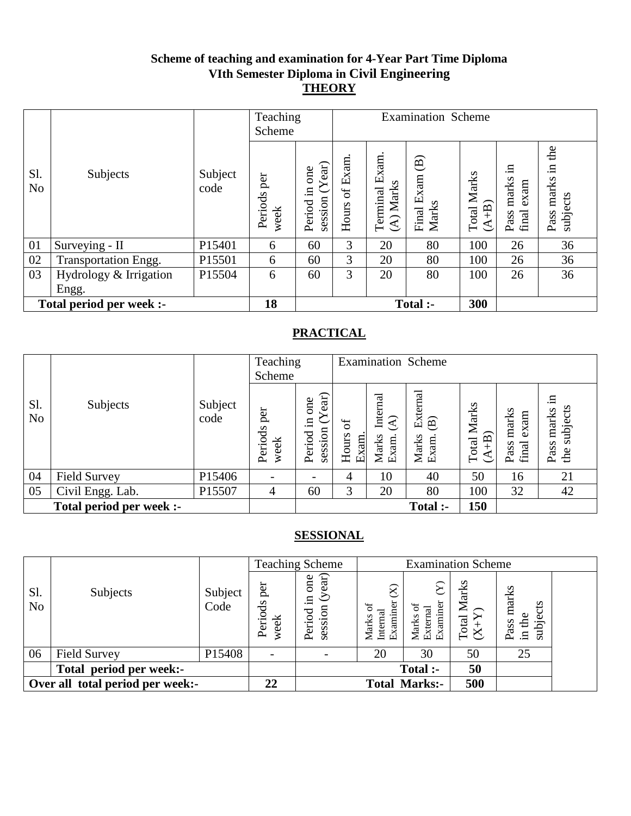### **Scheme of teaching and examination for 4-Year Part Time Diploma VIth Semester Diploma in Civil Engineering THEORY**

|                       |                          |                 | Teaching<br>Scheme     |                                      |                   |                            | <b>Examination Scheme</b>                     |                               |                                   |                                     |
|-----------------------|--------------------------|-----------------|------------------------|--------------------------------------|-------------------|----------------------------|-----------------------------------------------|-------------------------------|-----------------------------------|-------------------------------------|
| Sl.<br>N <sub>o</sub> | Subjects                 | Subject<br>code | per<br>Periods<br>week | session $(Year)$<br>one<br>Period in | of Exam.<br>Hours | Terminal Exam<br>(A) Marks | $\widehat{\mathbf{e}}$<br>Final Exam<br>Marks | <b>Total Marks</b><br>$(A+B)$ | .日<br>Pass marks<br>exam<br>final | the<br>Ξ.<br>Pass marks<br>subjects |
| 01                    | Surveying - II           | P15401          | 6                      | 60                                   | 3                 | 20                         | 80                                            | 100                           | 26                                | 36                                  |
| 02                    | Transportation Engg.     | P15501          | 6                      | 60                                   | 3                 | 20                         | 80                                            | 100                           | 26                                | 36                                  |
| 03                    | Hydrology & Irrigation   | P15504          | 6                      | 60                                   | 3                 | 20                         | 80                                            | 100                           | 26                                | 36                                  |
|                       | Engg.                    |                 |                        |                                      |                   |                            |                                               |                               |                                   |                                     |
|                       | Total period per week :- |                 | 18                     |                                      |                   |                            | Total :-                                      | 300                           |                                   |                                     |

## **PRACTICAL**

|                       |                          |                 | Teaching<br>Scheme       |                                             |                                  |                                                       | <b>Examination Scheme</b>                            |                          |                                |                                        |
|-----------------------|--------------------------|-----------------|--------------------------|---------------------------------------------|----------------------------------|-------------------------------------------------------|------------------------------------------------------|--------------------------|--------------------------------|----------------------------------------|
| Sl.<br>N <sub>o</sub> | Subjects                 | Subject<br>code | per<br>Periods<br>week   | ear)<br>one<br>≻<br>.크<br>session<br>Period | $\sigma$<br>Hours<br><b>Exam</b> | Internal<br>$\widehat{\mathcal{E}}$<br>Marks<br>Exam. | External<br>$\widehat{\mathbf{B}}$<br>Marks<br>Exam. | Marks<br>$+$ B)<br>Total | marks<br>exam<br>final<br>Pass | .⊟<br>subjects<br>marks<br>Pass<br>the |
| 04                    | <b>Field Survey</b>      | P15406          | $\overline{\phantom{a}}$ |                                             | 4                                | 10                                                    | 40                                                   | 50                       | 16                             | 21                                     |
| 05                    | Civil Engg. Lab.         | P15507          | 4                        | 60                                          | 3                                | 20                                                    | 80                                                   | 100                      | 32                             | 42                                     |
|                       | Total period per week :- |                 |                          |                                             |                                  |                                                       | <b>Total</b> :-                                      | 150                      |                                |                                        |

|                       |                                  |                 |                          | <b>Teaching Scheme</b>                   |                                         |                             | <b>Examination Scheme</b> |                                                                                        |  |
|-----------------------|----------------------------------|-----------------|--------------------------|------------------------------------------|-----------------------------------------|-----------------------------|---------------------------|----------------------------------------------------------------------------------------|--|
| Sl.<br>N <sub>o</sub> | Subjects                         | Subject<br>Code | per<br>ď<br>week<br>Peri | (year)<br>one<br>묘.<br>session<br>Period | $\otimes$<br>Examir<br>Marks<br>Interna | Examiner<br>Marks<br>Extern | Marks<br>Total            | marks<br>$\tilde{\mathbf{S}}$<br>the<br>ëď<br>Pass<br>$\Xi$ .<br>$\overline{\text{S}}$ |  |
| 06                    | <b>Field Survey</b>              | P15408          |                          |                                          | 20                                      | 30                          | 50                        | 25                                                                                     |  |
|                       | Total period per week:-          |                 |                          |                                          |                                         | Total :-                    | 50                        |                                                                                        |  |
|                       | Over all total period per week:- |                 | 22                       |                                          |                                         | <b>Total Marks:-</b>        | 500                       |                                                                                        |  |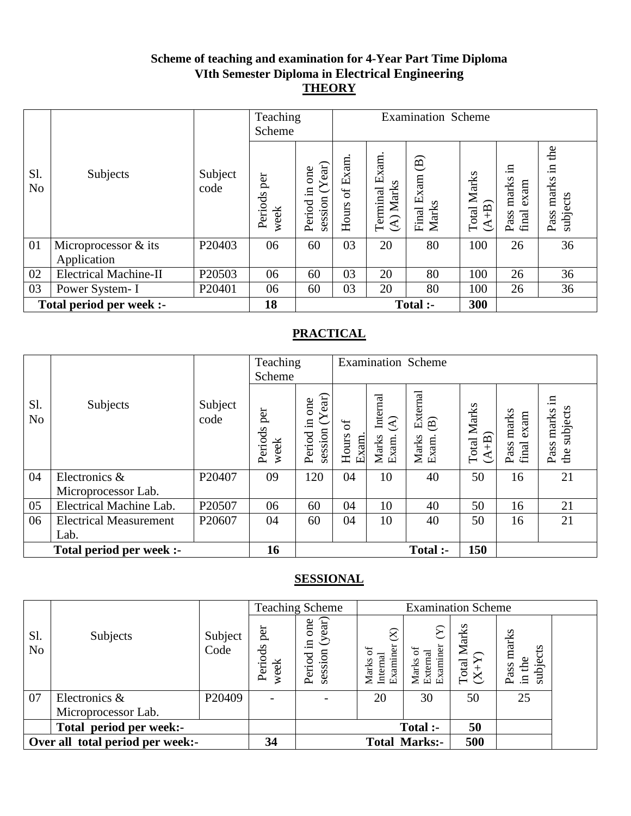### **Scheme of teaching and examination for 4-Year Part Time Diploma VIth Semester Diploma in Electrical Engineering THEORY**

|                       |                              |                 | Teaching<br>Scheme     |                                      | <b>Examination Scheme</b> |                                |                                               |                           |                                   |                                     |
|-----------------------|------------------------------|-----------------|------------------------|--------------------------------------|---------------------------|--------------------------------|-----------------------------------------------|---------------------------|-----------------------------------|-------------------------------------|
| Sl.<br>N <sub>o</sub> | Subjects                     | Subject<br>code | per<br>Periods<br>week | session $(Year)$<br>one<br>Period in | of Exam.<br>Hours         | Exam.<br>(A) Marks<br>Terminal | $\widehat{\mathbf{B}}$<br>Final Exam<br>Marks | Marks<br>$(A+B)$<br>Total | .日<br>Pass marks<br>exam<br>final | the<br>Ξ.<br>Pass marks<br>subjects |
| 01                    | Microprocessor & its         | P20403          | 06                     | 60                                   | 03                        | 20                             | 80                                            | 100                       | 26                                | 36                                  |
|                       | Application                  |                 |                        |                                      |                           |                                |                                               |                           |                                   |                                     |
| 02                    | <b>Electrical Machine-II</b> | P20503          | 06                     | 60                                   | 03                        | 20                             | 80                                            | 100                       | 26                                | 36                                  |
| 03                    | Power System-I               | P20401          | 06                     | 60                                   | 03                        | 20                             | 80                                            | 100                       | 26                                | 36                                  |
|                       | Total period per week :-     |                 | 18                     |                                      |                           |                                | Total :-                                      | 300                       |                                   |                                     |

## **PRACTICAL**

|                       |                               |                 | Teaching<br>Scheme     |                                                |                     |                                                       | <b>Examination Scheme</b>                            |                                  |                                |                                        |
|-----------------------|-------------------------------|-----------------|------------------------|------------------------------------------------|---------------------|-------------------------------------------------------|------------------------------------------------------|----------------------------------|--------------------------------|----------------------------------------|
| Sl.<br>N <sub>o</sub> | Subjects                      | Subject<br>code | per<br>Periods<br>week | ear)<br>one<br>Y<br>$\Xi$<br>session<br>Period | ð<br>Hours<br>Exam. | Internal<br>$\widehat{\mathcal{E}}$<br>Exam.<br>Marks | External<br>$\widehat{\mathbf{B}}$<br>Marks<br>Exam. | Marks<br>$(A+B)$<br><b>Total</b> | marks<br>exam<br>final<br>Pass | .日<br>subjects<br>marks<br>Pass<br>the |
| 04                    | Electronics &                 | P20407          | 09                     | 120                                            | 04                  | 10                                                    | 40                                                   | 50                               | 16                             | 21                                     |
|                       | Microprocessor Lab.           |                 |                        |                                                |                     |                                                       |                                                      |                                  |                                |                                        |
| 05                    | Electrical Machine Lab.       | P20507          | 06                     | 60                                             | 04                  | 10                                                    | 40                                                   | 50                               | 16                             | 21                                     |
| 06                    | <b>Electrical Measurement</b> | P20607          | 04                     | 60                                             | 04                  | 10                                                    | 40                                                   | 50                               | 16                             | 21                                     |
|                       | Lab.                          |                 |                        |                                                |                     |                                                       |                                                      |                                  |                                |                                        |
|                       | Total period per week :-      |                 | 16                     |                                                |                     |                                                       | Total :-                                             | 150                              |                                |                                        |

|                       |                                  |                 |                          | <b>Teaching Scheme</b>                        |                                            | <b>Examination Scheme</b>    |                         |                                     |  |
|-----------------------|----------------------------------|-----------------|--------------------------|-----------------------------------------------|--------------------------------------------|------------------------------|-------------------------|-------------------------------------|--|
| Sl.<br>N <sub>o</sub> | Subjects                         | Subject<br>Code | per<br>Periods<br>week   | (year)<br>one<br>$\Xi$ .<br>session<br>Period | $\otimes$<br>Examiner<br>Internal<br>Marks | Examiner<br>Externa<br>Marks | Marks<br>$Total N(X+Y)$ | marks<br>subjects<br>in the<br>Pass |  |
| 07                    | Electronics &                    | P20409          | $\overline{\phantom{a}}$ |                                               | 20                                         | 30                           | 50                      | 25                                  |  |
|                       | Microprocessor Lab.              |                 |                          |                                               |                                            |                              |                         |                                     |  |
|                       | Total period per week:-          |                 |                          |                                               |                                            | Total :-                     | 50                      |                                     |  |
|                       | Over all total period per week:- |                 |                          |                                               |                                            | <b>Total Marks:-</b>         | 500                     |                                     |  |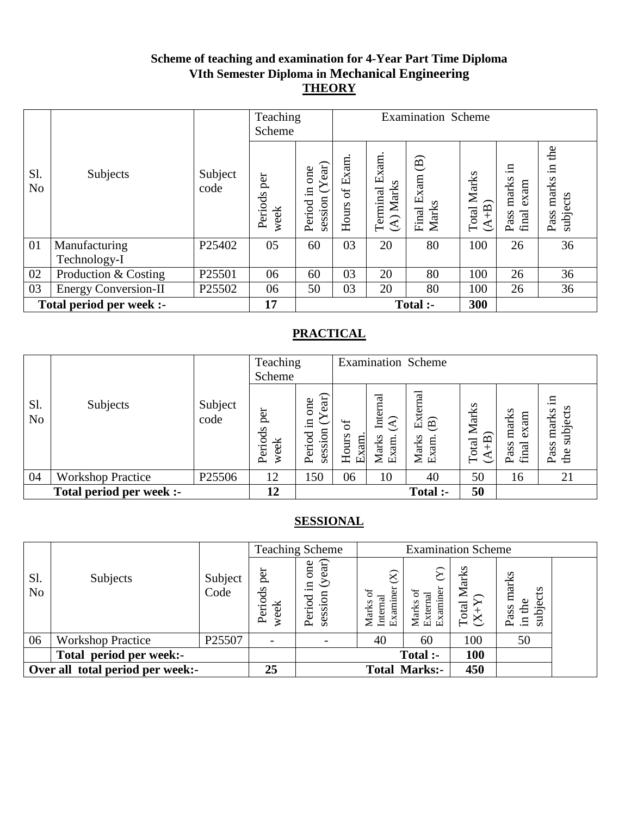### **Scheme of teaching and examination for 4-Year Part Time Diploma VIth Semester Diploma in Mechanical Engineering THEORY**

|                       |                             |                 | Teaching<br>Scheme     |                                        | <b>Examination Scheme</b> |                                |                                               |                           |                                   |                                        |
|-----------------------|-----------------------------|-----------------|------------------------|----------------------------------------|---------------------------|--------------------------------|-----------------------------------------------|---------------------------|-----------------------------------|----------------------------------------|
| Sl.<br>N <sub>o</sub> | Subjects                    | Subject<br>code | per<br>Periods<br>week | Year)<br>one<br>Period in<br>session ( | of Exam.<br>Hours         | Exam.<br>(A) Marks<br>Terminal | $\widehat{\mathbf{B}}$<br>Final Exam<br>Marks | Marks<br>$(A+B)$<br>Total | .日<br>Pass marks<br>exam<br>final | the<br>Ξ.<br>marks<br>subjects<br>Pass |
| 01                    | Manufacturing               | P25402          | 05                     | 60                                     | 03                        | 20                             | 80                                            | 100                       | 26                                | 36                                     |
|                       | Technology-I                |                 |                        |                                        |                           |                                |                                               |                           |                                   |                                        |
| 02                    | Production & Costing        | P25501          | 06                     | 60                                     | 03                        | 20                             | 80                                            | 100                       | 26                                | 36                                     |
| 03                    | <b>Energy Conversion-II</b> | P25502          | 06                     | 50                                     | 03                        | 20                             | 80                                            | 100                       | 26                                | 36                                     |
|                       | Total period per week :-    |                 | 17                     |                                        |                           |                                | Total :-                                      | 300                       |                                   |                                        |

## **PRACTICAL**

|                       |                          |                 | Teaching<br>Scheme     |                                                |                           |                                                       | <b>Examination Scheme</b>                            |                                 |                                |                                        |
|-----------------------|--------------------------|-----------------|------------------------|------------------------------------------------|---------------------------|-------------------------------------------------------|------------------------------------------------------|---------------------------------|--------------------------------|----------------------------------------|
| Sl.<br>N <sub>o</sub> | Subjects                 | Subject<br>code | per<br>Periods<br>week | ear)<br>one<br>$\ddot{m}$<br>session<br>Period | ð<br>Hours<br><b>Exam</b> | Internal<br>$\widehat{\mathcal{A}}$<br>Marks<br>Exam. | External<br>$\widehat{\mathbf{B}}$<br>Marks<br>Exam. | Marks<br>$\widehat{+}$<br>Total | marks<br>exam<br>final<br>Pass | 료.<br>subjects<br>marks<br>Pass<br>the |
| 04                    | <b>Workshop Practice</b> | P25506          | 12                     | 150                                            | 06                        | 10                                                    | 40                                                   | 50                              | 16                             | 21                                     |
|                       | Total period per week :- |                 | 12                     |                                                |                           |                                                       | <b>Total</b> :-                                      | 50                              |                                |                                        |

|                       |                                  |                 |                          | <b>Teaching Scheme</b>                   |                                                | <b>Examination Scheme</b>               |                         |                                         |  |
|-----------------------|----------------------------------|-----------------|--------------------------|------------------------------------------|------------------------------------------------|-----------------------------------------|-------------------------|-----------------------------------------|--|
| Sl.<br>N <sub>o</sub> | Subjects                         | Subject<br>Code | per<br>Periods<br>week   | (year)<br>one<br>묘.<br>session<br>Period | $\otimes$<br>Examiner<br>ď<br>Marks<br>Interna | Examiner<br>ᇹ<br>್ಸ<br>Marks<br>Externa | Marks<br>$X+X$<br>Total | marks<br>S<br>subject<br>in the<br>Pass |  |
| 06                    | <b>Workshop Practice</b>         | P25507          | $\overline{\phantom{a}}$ |                                          | 40                                             | 60                                      | 100                     | 50                                      |  |
|                       | Total period per week:-          |                 |                          |                                          |                                                | Total :-                                | 100                     |                                         |  |
|                       | Over all total period per week:- |                 | 25                       |                                          |                                                | <b>Total Marks:-</b>                    | 450                     |                                         |  |